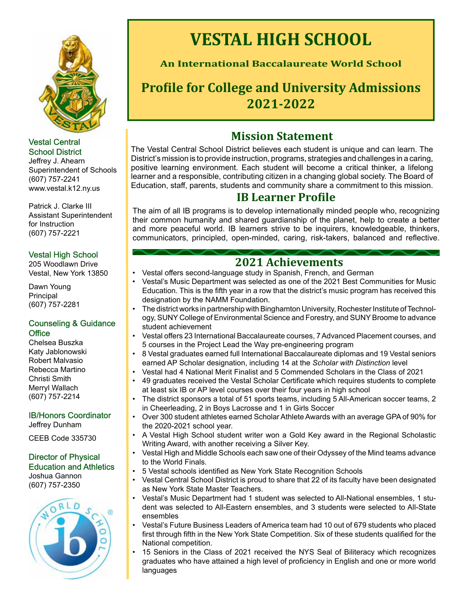

### Vestal Central School District District

Jeffrey J. Ahearn Superintendent of Schools (607) 757-2241 <www.vestal.k12.ny.us>

Patrick J. Clarke III Assistant Superintendent for Instruction (607) 757-2221

## Vestal High School School

205 Woodlawn Drive Vestal, New York 13850

Dawn Young Principal (607) 757-2281

### Counseling & Guidance **Office**

Chelsea Buszka Katy Jablonowski Robert Malvasio Rebecca Martino Christi Smith Merryl Wallach (607) 757-2214

IB/Honors Coordinator Coordinator

Jeffrey Dunham

CEEB Code 335730

#### Director of Physical Education and Athletics Joshua Gannon

(607) 757-2350



# **VESTAL HIGH SCHOOL**

I

 $\Box$ 

**An International Baccalaureate World School** 

# **Profile for College and University Admissions 2021-2022**

# **Mission Statement**

The Vestal Central School District believes each student is unique and can learn. The District's mission is to provide instruction, programs, strategies and challenges in a caring, positive learning environment. Each student will become a critical thinker, a lifelong learner and a responsible, contributing citizen in a changing global society. The Board of Education, staff, parents, students and community share a commitment to this mission.

## **IB Learner Profile**

The aim of all IB programs is to develop internationally minded people who, recognizing their common humanity and shared guardianship of the planet, help to create a better and more peaceful world. IB learners strive to be inquirers, knowledgeable, thinkers, communicators, principled, open-minded, caring, risk-takers, balanced and reflective.

# **2021 Achievements**

- Vestal offers second-language study in Spanish, French, and German
- Vestal's Music Department was selected as one of the 2021 Best Communities for Music Education. This is the fifth year in a row that the district's music program has received this designation by the NAMM Foundation.
- The district works in partnership with Binghamton University, Rochester Institute of Technology, SUNY College of Environmental Science and Forestry, and SUNY Broome to advance student achievement
- Vestal offers 23 International Baccalaureate courses, 7 Advanced Placement courses, and 5 courses in the Project Lead the Way pre-engineering program
- 8 Vestal graduates earned full International Baccalaureate diplomas and 19 Vestal seniors earned AP Scholar designation, including 14 at the *Scholar with Distinction* level
- Vestal had 4 National Merit Finalist and 5 Commended Scholars in the Class of 2021
- 49 graduates received the Vestal Scholar Certificate which requires students to complete at least six IB or AP level courses over their four years in high school
- The district sponsors a total of 51 sports teams, including 5 All-American soccer teams, 2 in Cheerleading, 2 in Boys Lacrosse and 1 in Girls Soccer
- Over 300 student athletes earned Scholar Athlete Awards with an average GPA of 90% for the 2020-2021 school year.
- $\bullet$ • A Vestal High School student writer won a Gold Key award in the Regional Scholastic Writing Award, with another receiving a Silver Key.
- Vestal High and Middle Schools each saw one of their Odyssey of the Mind teams advance to the World Finals.
- 5 Vestal schools identified as New York State Recognition Schools
- Vestal Central School District is proud to share that 22 of its faculty have been designated as New York State Master Teachers.
- Vestal's Music Department had 1 student was selected to All-National ensembles, 1 student was selected to All-Eastern ensembles, and 3 students were selected to All-State ensembles
- Vestal's Future Business Leaders of America team had 10 out of 679 students who placed first through fifth in the New York State Competition. Six of these students qualified for the National competition.
- 15 Seniors in the Class of 2021 received the NYS Seal of Biliteracy which recognizes graduates who have attained a high level of proficiency in English and one or more world languages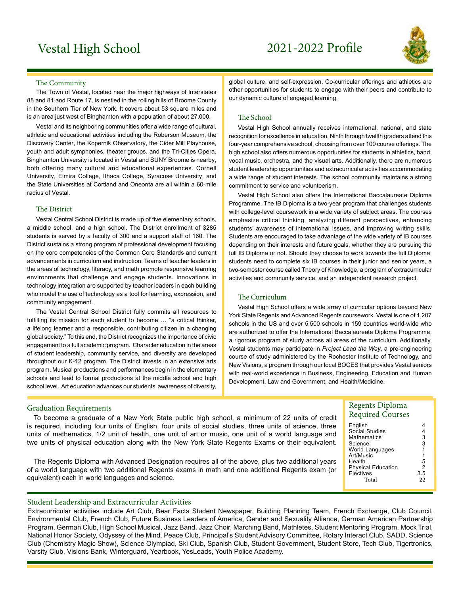# Vestal High School 2021-2022 Profle



#### The Community

The Town of Vestal, located near the major highways of Interstates 88 and 81 and Route 17, is nestled in the rolling hills of Broome County in the Southern Tier of New York. It covers about 53 square miles and is an area just west of Binghamton with a population of about 27,000.

Vestal and its neighboring communities offer a wide range of cultural, athletic and educational activities including the Roberson Museum, the Discovery Center, the Kopernik Observatory, the Cider Mill Playhouse, youth and adult symphonies, theater groups, and the Tri-Cities Opera. Binghamton University is located in Vestal and SUNY Broome is nearby, both offering many cultural and educational experiences. Cornell University, Elmira College, Ithaca College, Syracuse University, and the State Universities at Cortland and Oneonta are all within a 60-mile radius of Vestal.

#### The District

Vestal Central School District is made up of five elementary schools, a middle school, and a high school. The District enrollment of 3285 students is served by a faculty of 300 and a support staff of 160. The District sustains a strong program of professional development focusing on the core competencies of the Common Core Standards and current advancements in curriculum and instruction. Teams of teacher leaders in the areas of technology, literacy, and math promote responsive learning environments that challenge and engage students. Innovations in technology integration are supported by teacher leaders in each building who model the use of technology as a tool for learning, expression, and community engagement.

 fulfilling its mission for each student to become … "a critical thinker, The Vestal Central School District fully commits all resources to a lifelong learner and a responsible, contributing citizen in a changing global society." To this end, the District recognizes the importance of civic engagement to a full academic program. Character education in the areas of student leadership, community service, and diversity are developed throughout our K-12 program. The District invests in an extensive arts program. Musical productions and performances begin in the elementary schools and lead to formal productions at the middle school and high school level. Art education advances our students' awareness of diversity,

global culture, and self-expression. Co-curricular offerings and athletics are other opportunities for students to engage with their peers and contribute to our dynamic culture of engaged learning.

#### The School

Vestal High School annually receives international, national, and state recognition for excellence in education. Ninth through twelfth graders attend this four-year comprehensive school, choosing from over 100 course offerings. The high school also offers numerous opportunities for students in athletics, band, vocal music, orchestra, and the visual arts. Additionally, there are numerous student leadership opportunities and extracurricular activities accommodating a wide range of student interests. The school community maintains a strong commitment to service and volunteerism.

Vestal High School also offers the International Baccalaureate Diploma Programme. The IB Diploma is a two-year program that challenges students with college-level coursework in a wide variety of subject areas. The courses emphasize critical thinking, analyzing different perspectives, enhancing students' awareness of international issues, and improving writing skills. Students are encouraged to take advantage of the wide variety of IB courses depending on their interests and future goals, whether they are pursuing the full IB Diploma or not. Should they choose to work towards the full Diploma, students need to complete six IB courses in their junior and senior years, a two-semester course called Theory of Knowledge, a program of extracurricular activities and community service, and an independent research project.

#### The Curriculum

Vestal High School offers a wide array of curricular options beyond New York State Regents and Advanced Regents coursework. Vestal is one of 1,207 schools in the US and over 5,500 schools in 159 countries world-wide who are authorized to offer the International Baccalaureate Diploma Programme, a rigorous program of study across all areas of the curriculum. Additionally, Vestal students may participate in *Project Lead the Way*, a pre-engineering course of study administered by the Rochester Institute of Technology, and New Visions, a program through our local BOCES that provides Vestal seniors with real-world experience in Business, Engineering, Education and Human Development, Law and Government, and Health/Medicine.

#### Graduation Requirements

 To become a graduate of a New York State public high school, a minimum of 22 units of credit is required, including four units of English, four units of social studies, three units of science, three units of mathematics, 1/2 unit of health, one unit of art or music, one unit of a world language and two units of physical education along with the New York State Regents Exams or their equivalent.

The Regents Diploma with Advanced Designation requires all of the above, plus two additional years of a world language with two additional Regents exams in math and one additional Regents exam (or equivalent) each in world languages and science.

#### Regents Diploma Required Courses

| English                   |                |
|---------------------------|----------------|
| Social Studies            | 4              |
| Mathematics               | 3              |
| Science                   | 3              |
| World Languages           | $\overline{1}$ |
| Art/Music                 | 1              |
| Health                    | .5             |
| <b>Physical Education</b> | $\overline{2}$ |
| Electives                 | 3.5            |
| Total                     | 22             |
|                           |                |
|                           |                |

#### Student Leadership and Extracurricular Activities

Extracurricular activities include Art Club, Bear Facts Student Newspaper, Building Planning Team, French Exchange, Club Council, Environmental Club, French Club, Future Business Leaders of America, Gender and Sexuality Alliance, German American Partnership Program, German Club, High School Musical, Jazz Band, Jazz Choir, Marching Band, Mathletes, Student Mentoring Program, Mock Trial, National Honor Society, Odyssey of the Mind, Peace Club, Principal's Student Advisory Committee, Rotary Interact Club, SADD, Science Club (Chemistry Magic Show), Science Olympiad, Ski Club, Spanish Club, Student Government, Student Store, Tech Club, Tigertronics, Varsity Club, Visions Bank, Winterguard, Yearbook, YesLeads, Youth Police Academy.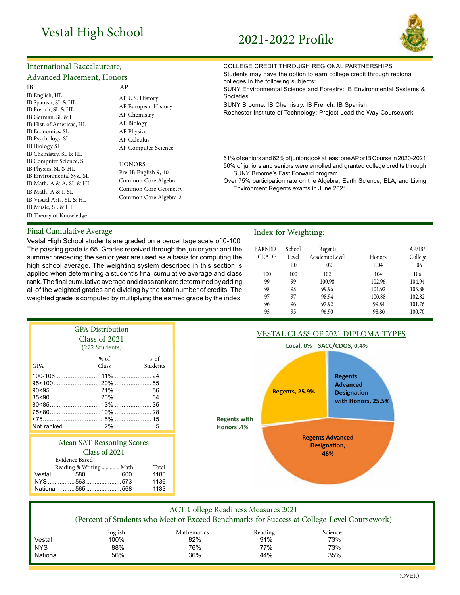# Vestal High School 2021-2022 Profile



## International Baccalaureate,

### Advanced Placement, Honors

| IB                                                                                                                                                                                                                              | AP                                                                                                                       | conogoo in the following capjec<br><b>SUNY Environmental Science a</b>                                                                                                           |
|---------------------------------------------------------------------------------------------------------------------------------------------------------------------------------------------------------------------------------|--------------------------------------------------------------------------------------------------------------------------|----------------------------------------------------------------------------------------------------------------------------------------------------------------------------------|
| IB English, HL<br>IB Spanish, SL & HL<br>IB French, SL & HL<br>IB German, SL & HL<br>IB Hist. of Americas, HL<br>IB Economics, SL<br>IB Psychology, SL<br>IB Biology SL                                                         | AP U.S. History<br>AP European History<br>AP Chemistry<br>AP Biology<br>AP Physics<br>AP Calculus<br>AP Computer Science | Societies<br>SUNY Broome: IB Chemistry, II<br>Rochester Institute of Technolo                                                                                                    |
| IB Chemistry, SL & HL<br>IB Computer Science, SL<br>IB Physics, SL & HL<br>IB Environmental Sys., SL<br>IB Math, A & A, SL & HL<br>IB Math, A & I, SL<br>IB Visual Arts, SL & HL<br>IB Music, SL & HL<br>IB Theory of Knowledge | HONORS<br>Pre-IB English 9, 10<br>Common Core Algebra<br>Common Core Geometry<br>Common Core Algebra 2                   | 61% of seniors and 62% of juniors<br>50% of juniors and seniors were<br><b>SUNY Broome's Fast Forwar</b><br>Over 75% participation rate on t<br><b>Environment Regents exams</b> |

#### Final Cumulative Average **Index** for Weighting:

rank. The final cumulative average and class rank are determined by adding 99 100.98 102.96 104.94 Vestal High School students are graded on a percentage scale of 0-100. The passing grade is 65. Grades received through the junior year and the summer preceding the senior year are used as a basis for computing the high school average. The weighting system described in this section is applied when determining a student's final cumulative average and class all of the weighted grades and dividing by the total number of credits. The weighted grade is computed by multiplying the earned grade by the index.

#### COLLEGE CREDIT THROUGH REGIONAL PARTNERSHIPS

Students may have the option to earn college credit through regional colleges in the following subjects:

and Forestry: IB Environmental Systems &

B French, IB Spanish

gy: Project Lead the Way Coursework

took at least one AP or IB Course in 2020-2021 enrolled and granted college credits through rd program

the Algebra, Earth Science, ELA, and Living s in June 2021

| <b>EARNED</b><br><b>GRADE</b> | School<br>Level<br>1.0 | Regents<br>Academic Level<br>1.02 | Honors<br>1.04 | AP/IB/<br>College<br>1.06 |
|-------------------------------|------------------------|-----------------------------------|----------------|---------------------------|
| 100                           | 100                    | 102                               | 104            | 106                       |
| 99                            | 99                     | 100.98                            | 102.96         | 104.94                    |
| 98                            | 98                     | 99.96                             | 101.92         | 103.88                    |
| 97                            | 97                     | 98.94                             | 100.88         | 102.82                    |
| 96                            | 96                     | 97.92                             | 99.84          | 101.76                    |
| 95                            | 95                     | 96.90                             | 98.80          | 100.70                    |